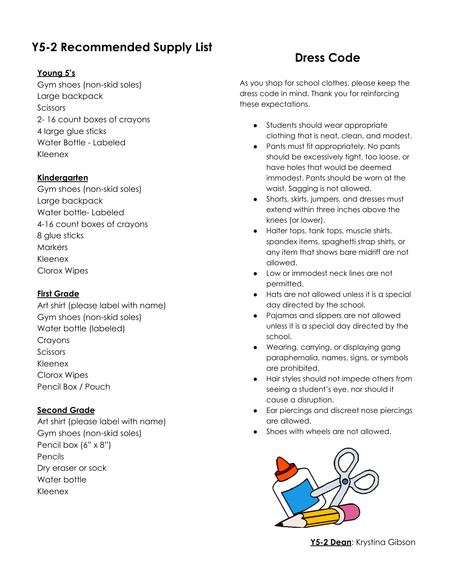### **Y5-2 Recommended Supply List**

#### **Young 5's**

Gym shoes (non-skid soles) Large backpack **Scissors** 2- 16 count boxes of crayons 4 large glue sticks Water Bottle - Labeled Kleenex

#### **Kindergarten**

Gym shoes (non-skid soles) Large backpack Water bottle- Labeled 4-16 count boxes of crayons 8 glue sticks **Markers** Kleenex Clorox Wipes

#### **First Grade**

Art shirt (please label with name) Gym shoes (non-skid soles) Water bottle (labeled) Crayons Scissors Kleenex Clorox Wipes Pencil Box / Pouch

#### **Second Grade**

Art shirt (please label with name) Gym shoes (non-skid soles) Pencil box (6" x 8") Pencils Dry eraser or sock Water bottle Kleenex

### **Dress Code**

As you shop for school clothes, please keep the dress code in mind. Thank you for reinforcing these expectations.

- Students should wear appropriate clothing that is neat, clean, and modest.
- Pants must fit appropriately. No pants should be excessively tight, too loose, or have holes that would be deemed immodest. Pants should be worn at the waist. Sagging is not allowed.
- Shorts, skirts, jumpers, and dresses must extend within three inches above the knees (or lower).
- Halter tops, tank tops, muscle shirts, spandex items, spaghetti strap shirts, or any item that shows bare midriff are not allowed.
- Low or immodest neck lines are not permitted.
- Hats are not allowed unless it is a special day directed by the school.
- Pajamas and slippers are not allowed unless it is a special day directed by the school.
- Wearing, carrying, or displaying gang paraphernalia, names, signs, or symbols are prohibited.
- Hair styles should not impede others from seeing a student's eye, nor should it cause a disruption.
- Ear piercings and discreet nose piercings are allowed.
- Shoes with wheels are not allowed.



**Y5-2 Dean**: Krystina Gibson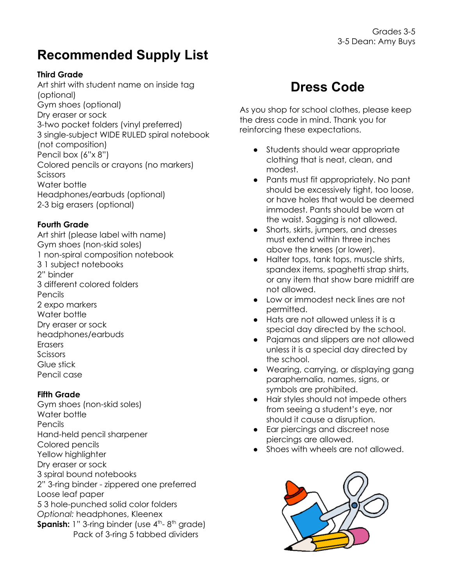## **Recommended Supply List**

#### **Third Grade**

Art shirt with student name on inside tag (optional) Gym shoes (optional) Dry eraser or sock 3-two pocket folders (vinyl preferred) 3 single-subject WIDE RULED spiral notebook (not composition) Pencil box (6"x 8") Colored pencils or crayons (no markers) **Scissors** Water bottle Headphones/earbuds (optional) 2-3 big erasers (optional)

#### **Fourth Grade**

Art shirt (please label with name) Gym shoes (non-skid soles) 1 non-spiral composition notebook 3 1 subject notebooks 2" binder 3 different colored folders Pencils 2 expo markers Water bottle Dry eraser or sock headphones/earbuds **Erasers** Scissors Glue stick Pencil case

#### **Fifth Grade**

Gym shoes (non-skid soles) Water bottle Pencils Hand-held pencil sharpener Colored pencils Yellow highlighter Dry eraser or sock 3 spiral bound notebooks 2" 3-ring binder - zippered one preferred Loose leaf paper 5 3 hole-punched solid color folders *Optional:* headphones, Kleenex **Spanish:** 1" 3-ring binder (use 4<sup>th</sup>-8<sup>th</sup> grade) Pack of 3-ring 5 tabbed dividers

## **Dress Code**

As you shop for school clothes, please keep the dress code in mind. Thank you for reinforcing these expectations.

- Students should wear appropriate clothing that is neat, clean, and modest.
- Pants must fit appropriately. No pant should be excessively tight, too loose, or have holes that would be deemed immodest. Pants should be worn at the waist. Sagging is not allowed.
- Shorts, skirts, jumpers, and dresses must extend within three inches above the knees (or lower).
- Halter tops, tank tops, muscle shirts, spandex items, spaghetti strap shirts, or any item that show bare midriff are not allowed.
- Low or immodest neck lines are not permitted.
- Hats are not allowed unless it is a special day directed by the school.
- Pajamas and slippers are not allowed unless it is a special day directed by the school.
- Wearing, carrying, or displaying gang paraphernalia, names, signs, or symbols are prohibited.
- Hair styles should not impede others from seeing a student's eye, nor should it cause a disruption.
- Ear piercings and discreet nose piercings are allowed.
- Shoes with wheels are not allowed.